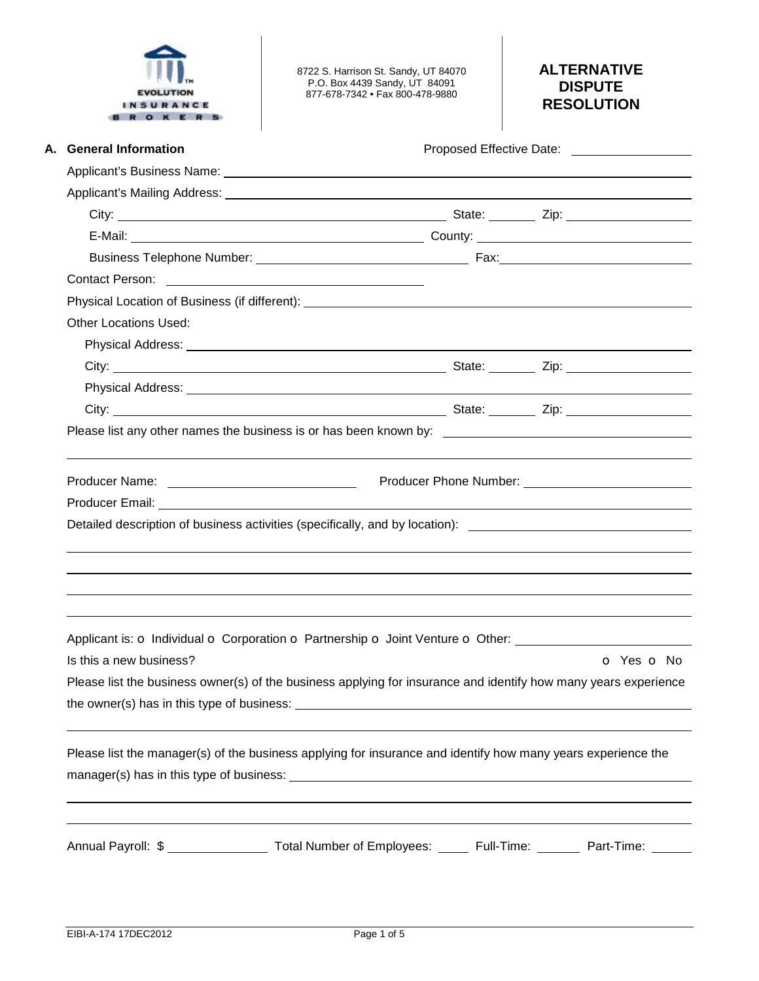

8722 S. Harrison St. Sandy, UT 84070 P.O. Box 4439 Sandy, UT 84091 877-678-7342 • Fax 800-478-9880

# **ALTERNATIVE DISPUTE RESOLUTION**

| A. General Information                                                                                                                                                                                                        |            |
|-------------------------------------------------------------------------------------------------------------------------------------------------------------------------------------------------------------------------------|------------|
|                                                                                                                                                                                                                               |            |
|                                                                                                                                                                                                                               |            |
|                                                                                                                                                                                                                               |            |
|                                                                                                                                                                                                                               |            |
|                                                                                                                                                                                                                               |            |
|                                                                                                                                                                                                                               |            |
|                                                                                                                                                                                                                               |            |
| <b>Other Locations Used:</b>                                                                                                                                                                                                  |            |
|                                                                                                                                                                                                                               |            |
|                                                                                                                                                                                                                               |            |
|                                                                                                                                                                                                                               |            |
| City: City: City: City: City: City: City: City: City: City: City: City: City: City: City: City: City: City: City: City: City: City: City: City: City: City: City: City: City: City: City: City: City: City: City: City: City: |            |
|                                                                                                                                                                                                                               |            |
|                                                                                                                                                                                                                               |            |
| Detailed description of business activities (specifically, and by location): _________________________________                                                                                                                |            |
|                                                                                                                                                                                                                               |            |
| Applicant is: o Individual o Corporation o Partnership o Joint Venture o Other: ____________________                                                                                                                          |            |
| Is this a new business?                                                                                                                                                                                                       | o Yes o No |
| Please list the business owner(s) of the business applying for insurance and identify how many years experience                                                                                                               |            |
|                                                                                                                                                                                                                               |            |
| Please list the manager(s) of the business applying for insurance and identify how many years experience the                                                                                                                  |            |
|                                                                                                                                                                                                                               |            |
|                                                                                                                                                                                                                               |            |
| Annual Payroll: \$ ____________________ Total Number of Employees: ______ Full-Time: _______ Part-Time: ______                                                                                                                |            |
|                                                                                                                                                                                                                               |            |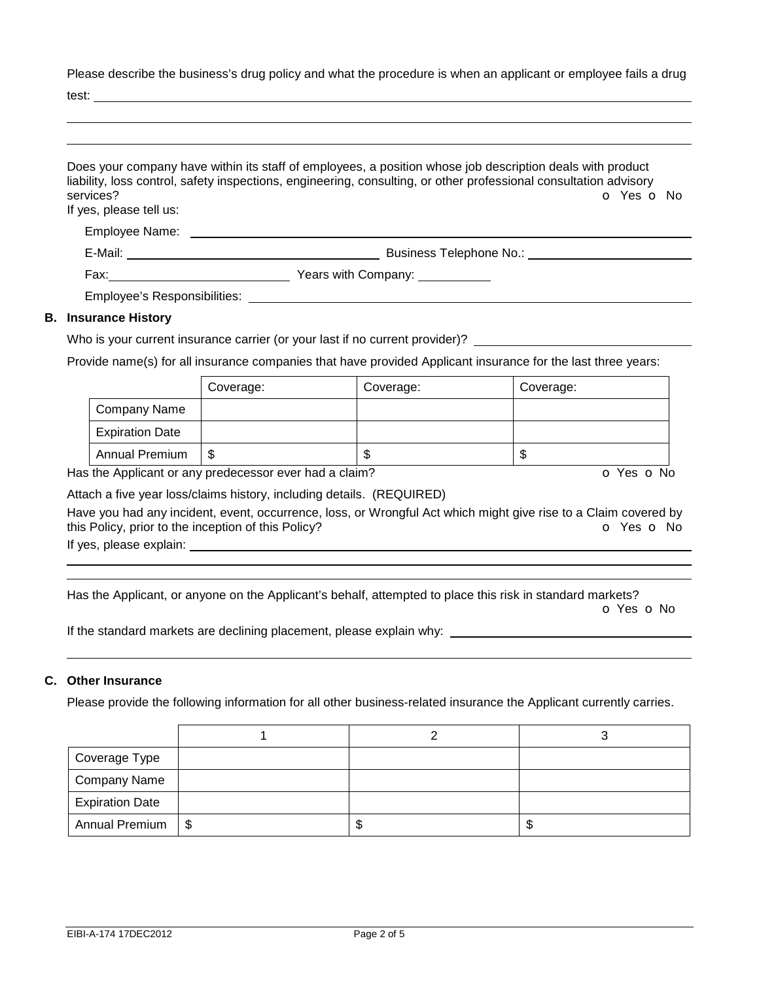Please describe the business's drug policy and what the procedure is when an applicant or employee fails a drug

test:

| services?<br>If yes, please tell us: | Does your company have within its staff of employees, a position whose job description deals with product<br>liability, loss control, safety inspections, engineering, consulting, or other professional consultation advisory<br>$O$ Yes $O$ No |
|--------------------------------------|--------------------------------------------------------------------------------------------------------------------------------------------------------------------------------------------------------------------------------------------------|
| Employee Name:                       |                                                                                                                                                                                                                                                  |
|                                      |                                                                                                                                                                                                                                                  |
|                                      | Years with Company: Vears with Company:                                                                                                                                                                                                          |
| Employee's Responsibilities:         |                                                                                                                                                                                                                                                  |
| <b>B.</b> Insurance History          |                                                                                                                                                                                                                                                  |

Who is your current insurance carrier (or your last if no current provider)? \_\_\_

Provide name(s) for all insurance companies that have provided Applicant insurance for the last three years:

|                        | Coverage: | Coverage: | Coverage: |
|------------------------|-----------|-----------|-----------|
| Company Name           |           |           |           |
| <b>Expiration Date</b> |           |           |           |
| <b>Annual Premium</b>  | S         | S         | D         |

Has the Applicant or any predecessor ever had a claim? **o Yes o No** Yes **o No** 

Attach a five year loss/claims history, including details. (REQUIRED)

Have you had any incident, event, occurrence, loss, or Wrongful Act which might give rise to a Claim covered by this Policy, prior to the inception of this Policy? **o** Yes **o** No

If yes, please explain:

 

Has the Applicant, or anyone on the Applicant's behalf, attempted to place this risk in standard markets?

o Yes o No

If the standard markets are declining placement, please explain why:

# **C. Other Insurance**

Please provide the following information for all other business-related insurance the Applicant currently carries.

| Coverage Type          |  |   |
|------------------------|--|---|
| <b>Company Name</b>    |  |   |
| <b>Expiration Date</b> |  |   |
| Annual Premium   \$    |  | ъ |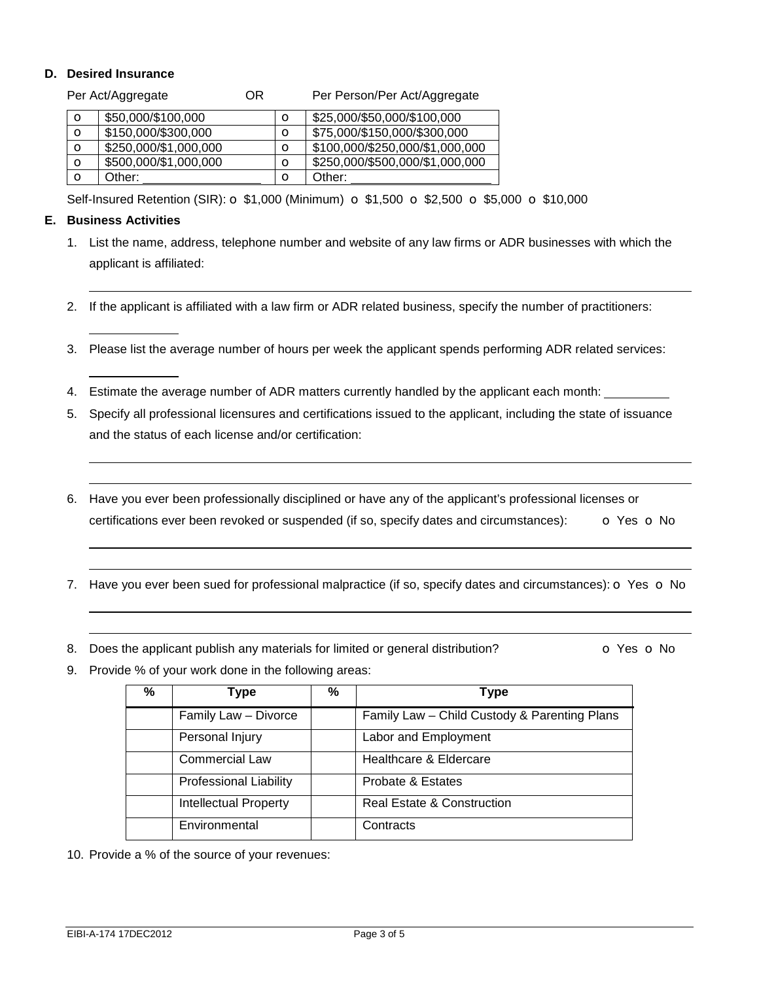### **D. Desired Insurance**

|             | Per Act/Aggregate     | ΟR |         | Per Person/Per Act/Aggregate    |
|-------------|-----------------------|----|---------|---------------------------------|
| $\circ$     | \$50,000/\$100,000    |    | O       | \$25,000/\$50,000/\$100,000     |
| $\circ$     | \$150,000/\$300,000   |    | O       | \$75,000/\$150,000/\$300,000    |
| $\circ$     | \$250,000/\$1,000,000 |    | $\circ$ | \$100,000/\$250,000/\$1,000,000 |
| $\circ$     | \$500,000/\$1,000,000 |    | O       | \$250,000/\$500,000/\$1,000,000 |
| $\mathbf o$ | Other:                |    | O       | Other:                          |

Self-Insured Retention (SIR):  $\sigma$  \$1,000 (Minimum)  $\sigma$  \$1,500  $\sigma$  \$2,500  $\sigma$  \$5,000  $\sigma$  \$10,000

### **E. Business Activities**

 

 

 $\overline{a}$ 

- 1. List the name, address, telephone number and website of any law firms or ADR businesses with which the applicant is affiliated:
- 2. If the applicant is affiliated with a law firm or ADR related business, specify the number of practitioners:
- 3. Please list the average number of hours per week the applicant spends performing ADR related services:
- 4. Estimate the average number of ADR matters currently handled by the applicant each month:
- 5. Specify all professional licensures and certifications issued to the applicant, including the state of issuance and the status of each license and/or certification:
- 6. Have you ever been professionally disciplined or have any of the applicant's professional licenses or certifications ever been revoked or suspended (if so, specify dates and circumstances):  $\bullet$  Yes  $\bullet$  No
- 7. Have you ever been sued for professional malpractice (if so, specify dates and circumstances):  $\circ$  Yes  $\circ$  No
- 8. Does the applicant publish any materials for limited or general distribution?  $\bullet$  Yes  $\bullet$  No

9. Provide % of your work done in the following areas:

| % | <b>Type</b>                   | % | <b>Type</b>                                  |
|---|-------------------------------|---|----------------------------------------------|
|   | Family Law - Divorce          |   | Family Law - Child Custody & Parenting Plans |
|   | Personal Injury               |   | Labor and Employment                         |
|   | <b>Commercial Law</b>         |   | Healthcare & Eldercare                       |
|   | <b>Professional Liability</b> |   | Probate & Estates                            |
|   | <b>Intellectual Property</b>  |   | <b>Real Estate &amp; Construction</b>        |
|   | Environmental                 |   | Contracts                                    |

10. Provide a % of the source of your revenues: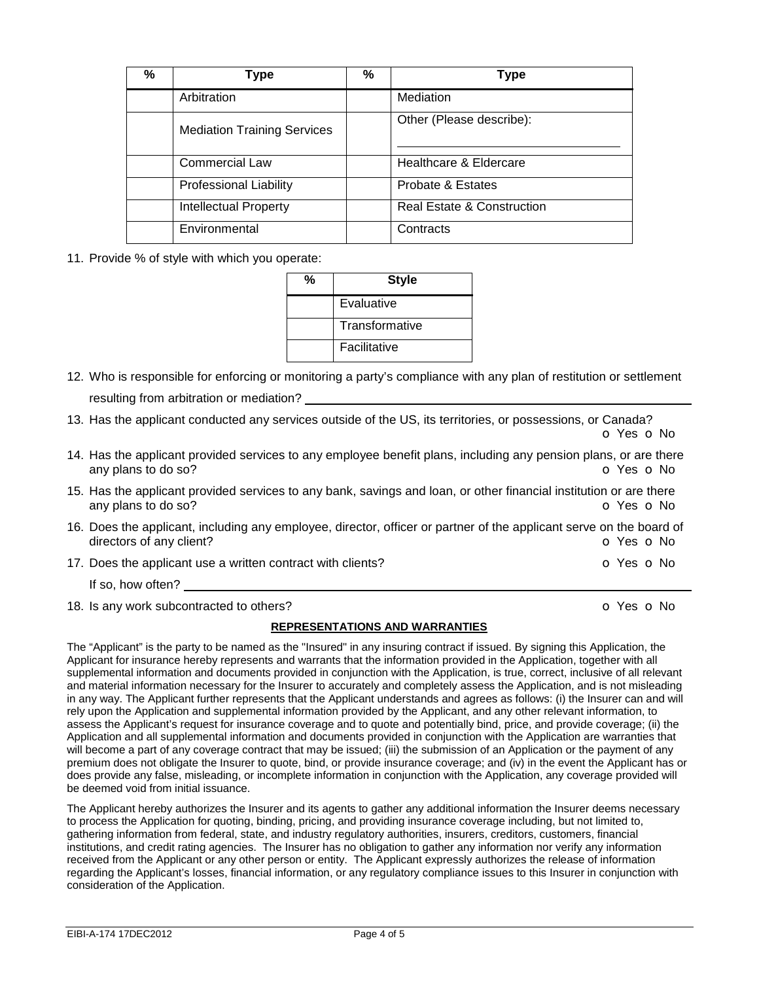| % | Type                               | % | <b>Type</b>                |
|---|------------------------------------|---|----------------------------|
|   | Arbitration                        |   | Mediation                  |
|   | <b>Mediation Training Services</b> |   | Other (Please describe):   |
|   | <b>Commercial Law</b>              |   | Healthcare & Eldercare     |
|   | <b>Professional Liability</b>      |   | Probate & Estates          |
|   | <b>Intellectual Property</b>       |   | Real Estate & Construction |
|   | Environmental                      |   | Contracts                  |

11. Provide % of style with which you operate:

| % | <b>Style</b>        |  |  |
|---|---------------------|--|--|
|   | Evaluative          |  |  |
|   | Transformative      |  |  |
|   | <b>Facilitative</b> |  |  |

- 12. Who is responsible for enforcing or monitoring a party's compliance with any plan of restitution or settlement resulting from arbitration or mediation?
- 13. Has the applicant conducted any services outside of the US, its territories, or possessions, or Canada? o Yes o No
- 14. Has the applicant provided services to any employee benefit plans, including any pension plans, or are there any plans to do so? **o** Yes **o** No
- 15. Has the applicant provided services to any bank, savings and loan, or other financial institution or are there any plans to do so? **o** Yes **o** No
- 16. Does the applicant, including any employee, director, officer or partner of the applicant serve on the board of directors of any client?  $\bullet$  Yes  $\bullet$  No
- 17. Does the applicant use a written contract with clients? **o COV** o Yes **o** No

If so, how often?

18. Is any work subcontracted to others? COME CONSERVIATE: The CONSERVIATE CONSERVIATE CONSERVIATE CONSERVIATE CONSERVIATE CONSERVIATE CONSERVIATE CONSERVIATE CONSERVIATE CONSERVIATE CONSERVIATE CONSERVIATE CONSERVIATE CON

# **REPRESENTATIONS AND WARRANTIES**

The "Applicant" is the party to be named as the "Insured" in any insuring contract if issued. By signing this Application, the Applicant for insurance hereby represents and warrants that the information provided in the Application, together with all supplemental information and documents provided in conjunction with the Application, is true, correct, inclusive of all relevant and material information necessary for the Insurer to accurately and completely assess the Application, and is not misleading in any way. The Applicant further represents that the Applicant understands and agrees as follows: (i) the Insurer can and will rely upon the Application and supplemental information provided by the Applicant, and any other relevant information, to assess the Applicant's request for insurance coverage and to quote and potentially bind, price, and provide coverage; (ii) the Application and all supplemental information and documents provided in conjunction with the Application are warranties that will become a part of any coverage contract that may be issued; (iii) the submission of an Application or the payment of any premium does not obligate the Insurer to quote, bind, or provide insurance coverage; and (iv) in the event the Applicant has or does provide any false, misleading, or incomplete information in conjunction with the Application, any coverage provided will be deemed void from initial issuance.

The Applicant hereby authorizes the Insurer and its agents to gather any additional information the Insurer deems necessary to process the Application for quoting, binding, pricing, and providing insurance coverage including, but not limited to, gathering information from federal, state, and industry regulatory authorities, insurers, creditors, customers, financial institutions, and credit rating agencies. The Insurer has no obligation to gather any information nor verify any information received from the Applicant or any other person or entity. The Applicant expressly authorizes the release of information regarding the Applicant's losses, financial information, or any regulatory compliance issues to this Insurer in conjunction with consideration of the Application.